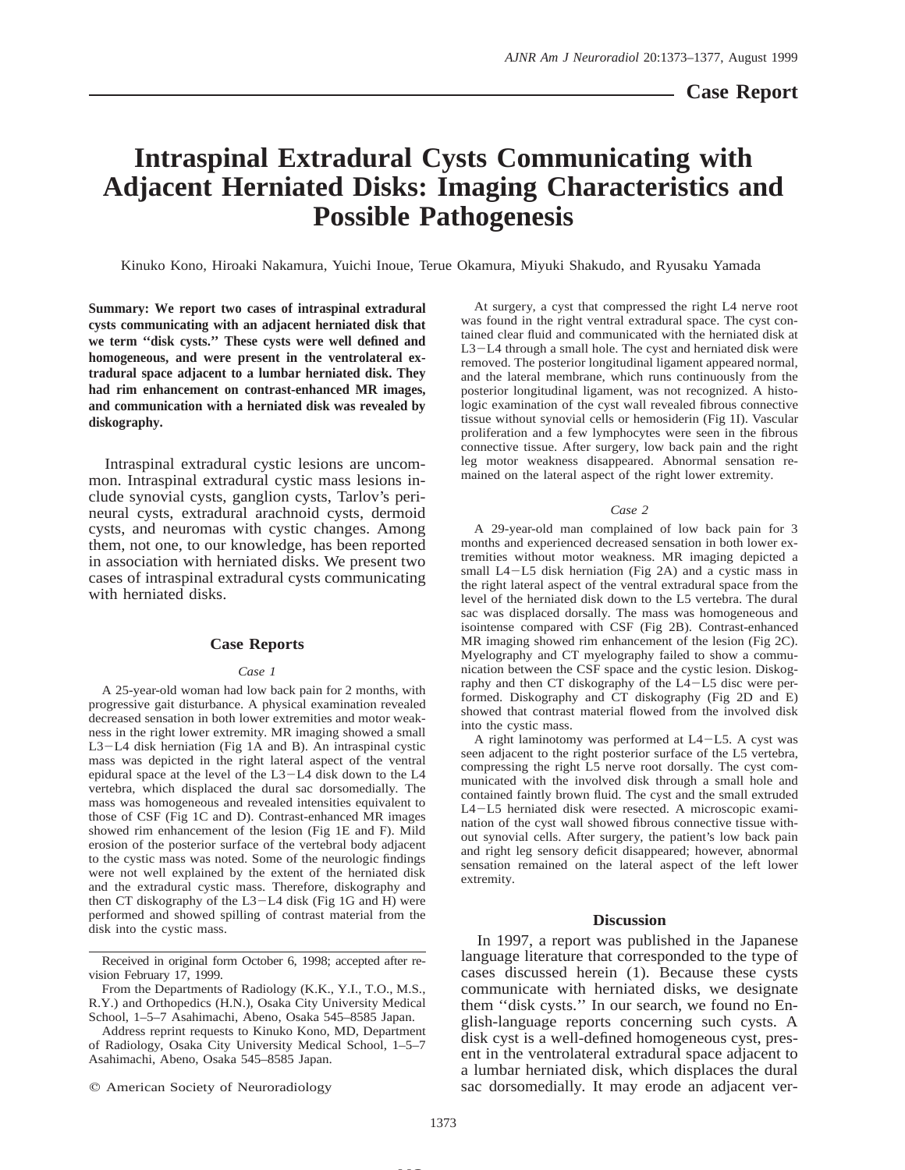# **Intraspinal Extradural Cysts Communicating with Adjacent Herniated Disks: Imaging Characteristics and Possible Pathogenesis**

Kinuko Kono, Hiroaki Nakamura, Yuichi Inoue, Terue Okamura, Miyuki Shakudo, and Ryusaku Yamada

**Summary: We report two cases of intraspinal extradural cysts communicating with an adjacent herniated disk that we term ''disk cysts.'' These cysts were well defined and homogeneous, and were present in the ventrolateral extradural space adjacent to a lumbar herniated disk. They had rim enhancement on contrast-enhanced MR images, and communication with a herniated disk was revealed by diskography.**

Intraspinal extradural cystic lesions are uncommon. Intraspinal extradural cystic mass lesions include synovial cysts, ganglion cysts, Tarlov's perineural cysts, extradural arachnoid cysts, dermoid cysts, and neuromas with cystic changes. Among them, not one, to our knowledge, has been reported in association with herniated disks. We present two cases of intraspinal extradural cysts communicating with herniated disks.

## **Case Reports**

# *Case 1*

A 25-year-old woman had low back pain for 2 months, with progressive gait disturbance. A physical examination revealed decreased sensation in both lower extremities and motor weakness in the right lower extremity. MR imaging showed a small  $L3-L4$  disk herniation (Fig 1A and B). An intraspinal cystic mass was depicted in the right lateral aspect of the ventral epidural space at the level of the  $L3-L4$  disk down to the  $L4$ vertebra, which displaced the dural sac dorsomedially. The mass was homogeneous and revealed intensities equivalent to those of CSF (Fig 1C and D). Contrast-enhanced MR images showed rim enhancement of the lesion (Fig 1E and F). Mild erosion of the posterior surface of the vertebral body adjacent to the cystic mass was noted. Some of the neurologic findings were not well explained by the extent of the herniated disk and the extradural cystic mass. Therefore, diskography and then CT diskography of the  $L3-L4$  disk (Fig 1G and H) were performed and showed spilling of contrast material from the disk into the cystic mass.

 $©$  American Society of Neuroradiology

**MS**

At surgery, a cyst that compressed the right L4 nerve root was found in the right ventral extradural space. The cyst contained clear fluid and communicated with the herniated disk at  $L3-L4$  through a small hole. The cyst and herniated disk were removed. The posterior longitudinal ligament appeared normal, and the lateral membrane, which runs continuously from the posterior longitudinal ligament, was not recognized. A histologic examination of the cyst wall revealed fibrous connective tissue without synovial cells or hemosiderin (Fig 1I). Vascular proliferation and a few lymphocytes were seen in the fibrous connective tissue. After surgery, low back pain and the right leg motor weakness disappeared. Abnormal sensation remained on the lateral aspect of the right lower extremity.

#### *Case 2*

A 29-year-old man complained of low back pain for 3 months and experienced decreased sensation in both lower extremities without motor weakness. MR imaging depicted a small  $L4-L5$  disk herniation (Fig 2A) and a cystic mass in the right lateral aspect of the ventral extradural space from the level of the herniated disk down to the L5 vertebra. The dural sac was displaced dorsally. The mass was homogeneous and isointense compared with CSF (Fig 2B). Contrast-enhanced MR imaging showed rim enhancement of the lesion (Fig 2C). Myelography and CT myelography failed to show a communication between the CSF space and the cystic lesion. Diskography and then CT diskography of the  $L4-L5$  disc were performed. Diskography and CT diskography (Fig 2D and E) showed that contrast material flowed from the involved disk into the cystic mass.

A right laminotomy was performed at  $L4-L5$ . A cyst was seen adjacent to the right posterior surface of the L5 vertebra, compressing the right L5 nerve root dorsally. The cyst communicated with the involved disk through a small hole and contained faintly brown fluid. The cyst and the small extruded L4-L5 herniated disk were resected. A microscopic examination of the cyst wall showed fibrous connective tissue without synovial cells. After surgery, the patient's low back pain and right leg sensory deficit disappeared; however, abnormal sensation remained on the lateral aspect of the left lower extremity.

## **Discussion**

In 1997, a report was published in the Japanese language literature that corresponded to the type of cases discussed herein (1). Because these cysts communicate with herniated disks, we designate them ''disk cysts.'' In our search, we found no English-language reports concerning such cysts. A disk cyst is a well-defined homogeneous cyst, present in the ventrolateral extradural space adjacent to a lumbar herniated disk, which displaces the dural sac dorsomedially. It may erode an adjacent ver-

Received in original form October 6, 1998; accepted after revision February 17, 1999.

From the Departments of Radiology (K.K., Y.I., T.O., M.S., R.Y.) and Orthopedics (H.N.), Osaka City University Medical School, 1–5–7 Asahimachi, Abeno, Osaka 545–8585 Japan.

Address reprint requests to Kinuko Kono, MD, Department of Radiology, Osaka City University Medical School, 1–5–7 Asahimachi, Abeno, Osaka 545–8585 Japan.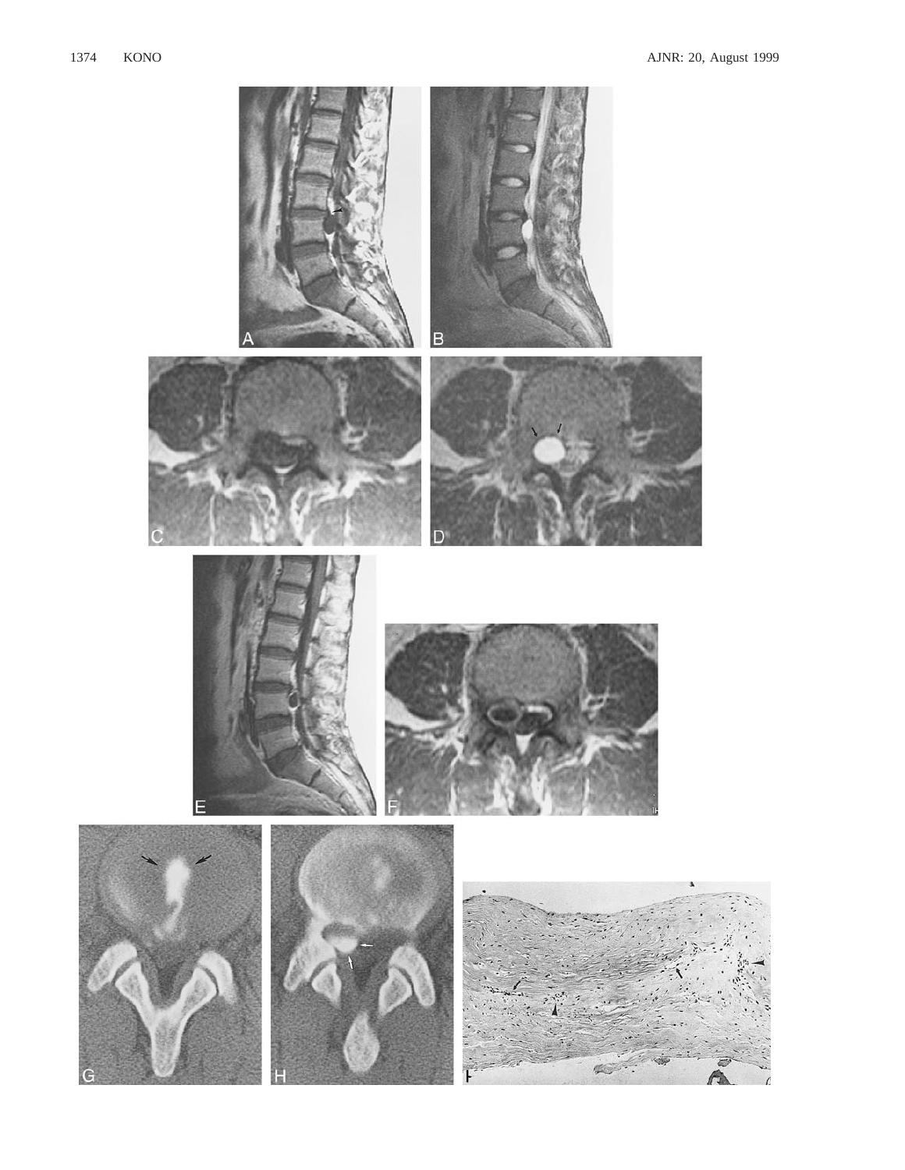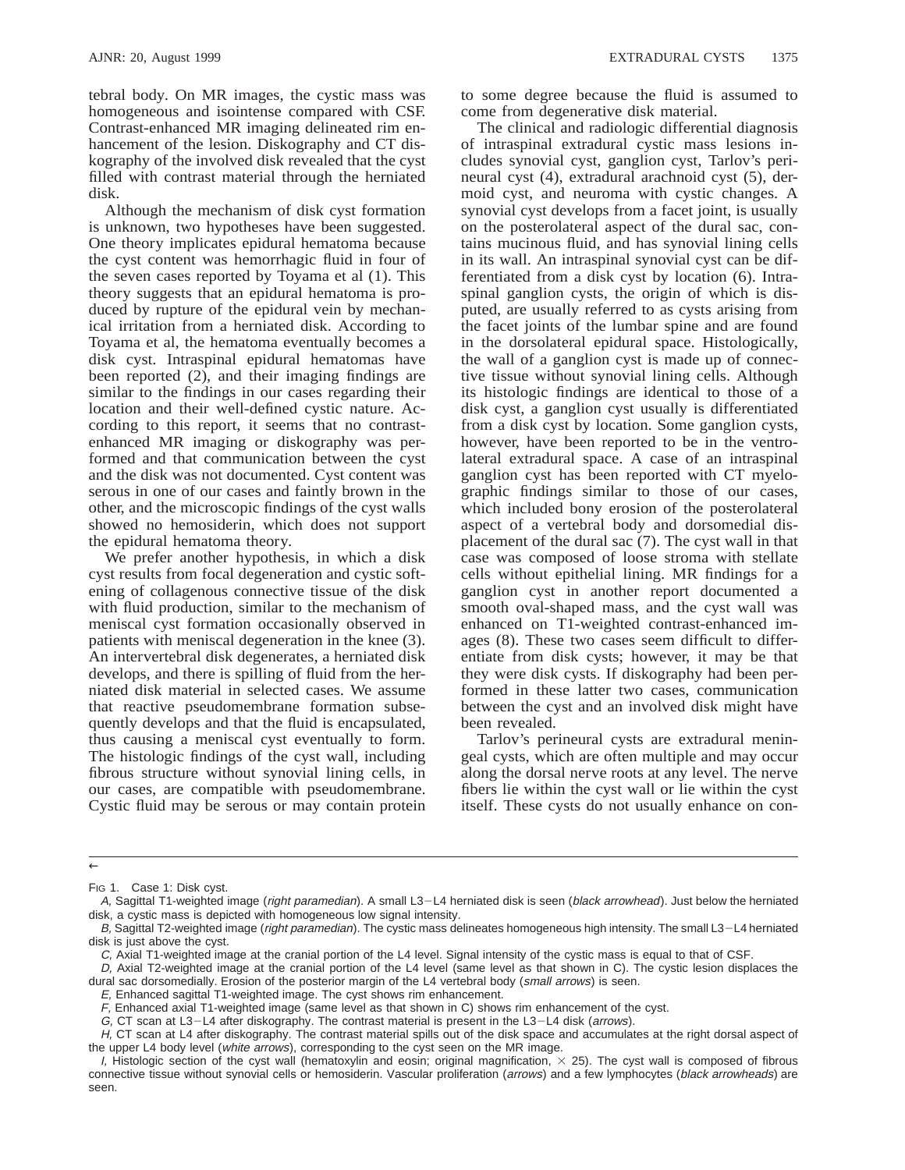tebral body. On MR images, the cystic mass was homogeneous and isointense compared with CSF. Contrast-enhanced MR imaging delineated rim enhancement of the lesion. Diskography and CT diskography of the involved disk revealed that the cyst filled with contrast material through the herniated disk.

Although the mechanism of disk cyst formation is unknown, two hypotheses have been suggested. One theory implicates epidural hematoma because the cyst content was hemorrhagic fluid in four of the seven cases reported by Toyama et al (1). This theory suggests that an epidural hematoma is produced by rupture of the epidural vein by mechanical irritation from a herniated disk. According to Toyama et al, the hematoma eventually becomes a disk cyst. Intraspinal epidural hematomas have been reported (2), and their imaging findings are similar to the findings in our cases regarding their location and their well-defined cystic nature. According to this report, it seems that no contrastenhanced MR imaging or diskography was performed and that communication between the cyst and the disk was not documented. Cyst content was serous in one of our cases and faintly brown in the other, and the microscopic findings of the cyst walls showed no hemosiderin, which does not support the epidural hematoma theory.

We prefer another hypothesis, in which a disk cyst results from focal degeneration and cystic softening of collagenous connective tissue of the disk with fluid production, similar to the mechanism of meniscal cyst formation occasionally observed in patients with meniscal degeneration in the knee (3). An intervertebral disk degenerates, a herniated disk develops, and there is spilling of fluid from the herniated disk material in selected cases. We assume that reactive pseudomembrane formation subsequently develops and that the fluid is encapsulated, thus causing a meniscal cyst eventually to form. The histologic findings of the cyst wall, including fibrous structure without synovial lining cells, in our cases, are compatible with pseudomembrane. Cystic fluid may be serous or may contain protein to some degree because the fluid is assumed to come from degenerative disk material.

The clinical and radiologic differential diagnosis of intraspinal extradural cystic mass lesions includes synovial cyst, ganglion cyst, Tarlov's perineural cyst (4), extradural arachnoid cyst (5), dermoid cyst, and neuroma with cystic changes. A synovial cyst develops from a facet joint, is usually on the posterolateral aspect of the dural sac, contains mucinous fluid, and has synovial lining cells in its wall. An intraspinal synovial cyst can be differentiated from a disk cyst by location (6). Intraspinal ganglion cysts, the origin of which is disputed, are usually referred to as cysts arising from the facet joints of the lumbar spine and are found in the dorsolateral epidural space. Histologically, the wall of a ganglion cyst is made up of connective tissue without synovial lining cells. Although its histologic findings are identical to those of a disk cyst, a ganglion cyst usually is differentiated from a disk cyst by location. Some ganglion cysts, however, have been reported to be in the ventrolateral extradural space. A case of an intraspinal ganglion cyst has been reported with CT myelographic findings similar to those of our cases, which included bony erosion of the posterolateral aspect of a vertebral body and dorsomedial displacement of the dural sac (7). The cyst wall in that case was composed of loose stroma with stellate cells without epithelial lining. MR findings for a ganglion cyst in another report documented a smooth oval-shaped mass, and the cyst wall was enhanced on T1-weighted contrast-enhanced images (8). These two cases seem difficult to differentiate from disk cysts; however, it may be that they were disk cysts. If diskography had been performed in these latter two cases, communication between the cyst and an involved disk might have been revealed.

Tarlov's perineural cysts are extradural meningeal cysts, which are often multiple and may occur along the dorsal nerve roots at any level. The nerve fibers lie within the cyst wall or lie within the cyst itself. These cysts do not usually enhance on con-

<sup>←</sup>

FIG 1. Case 1: Disk cyst.

A, Sagittal T1-weighted image (right paramedian). A small L3-L4 herniated disk is seen (black arrowhead). Just below the herniated disk, a cystic mass is depicted with homogeneous low signal intensity.

B, Sagittal T2-weighted image (right paramedian). The cystic mass delineates homogeneous high intensity. The small L3-L4 herniated disk is just above the cyst.

C, Axial T1-weighted image at the cranial portion of the L4 level. Signal intensity of the cystic mass is equal to that of CSF.

D, Axial T2-weighted image at the cranial portion of the L4 level (same level as that shown in C). The cystic lesion displaces the dural sac dorsomedially. Erosion of the posterior margin of the L4 vertebral body (small arrows) is seen.

E, Enhanced sagittal T1-weighted image. The cyst shows rim enhancement.

F, Enhanced axial T1-weighted image (same level as that shown in C) shows rim enhancement of the cyst.

 $G$ , CT scan at L3-L4 after diskography. The contrast material is present in the L3-L4 disk (arrows).

H, CT scan at L4 after diskography. The contrast material spills out of the disk space and accumulates at the right dorsal aspect of the upper L4 body level (white arrows), corresponding to the cyst seen on the MR image.

I, Histologic section of the cyst wall (hematoxylin and eosin; original magnification,  $\times$  25). The cyst wall is composed of fibrous connective tissue without synovial cells or hemosiderin. Vascular proliferation (arrows) and a few lymphocytes (black arrowheads) are seen.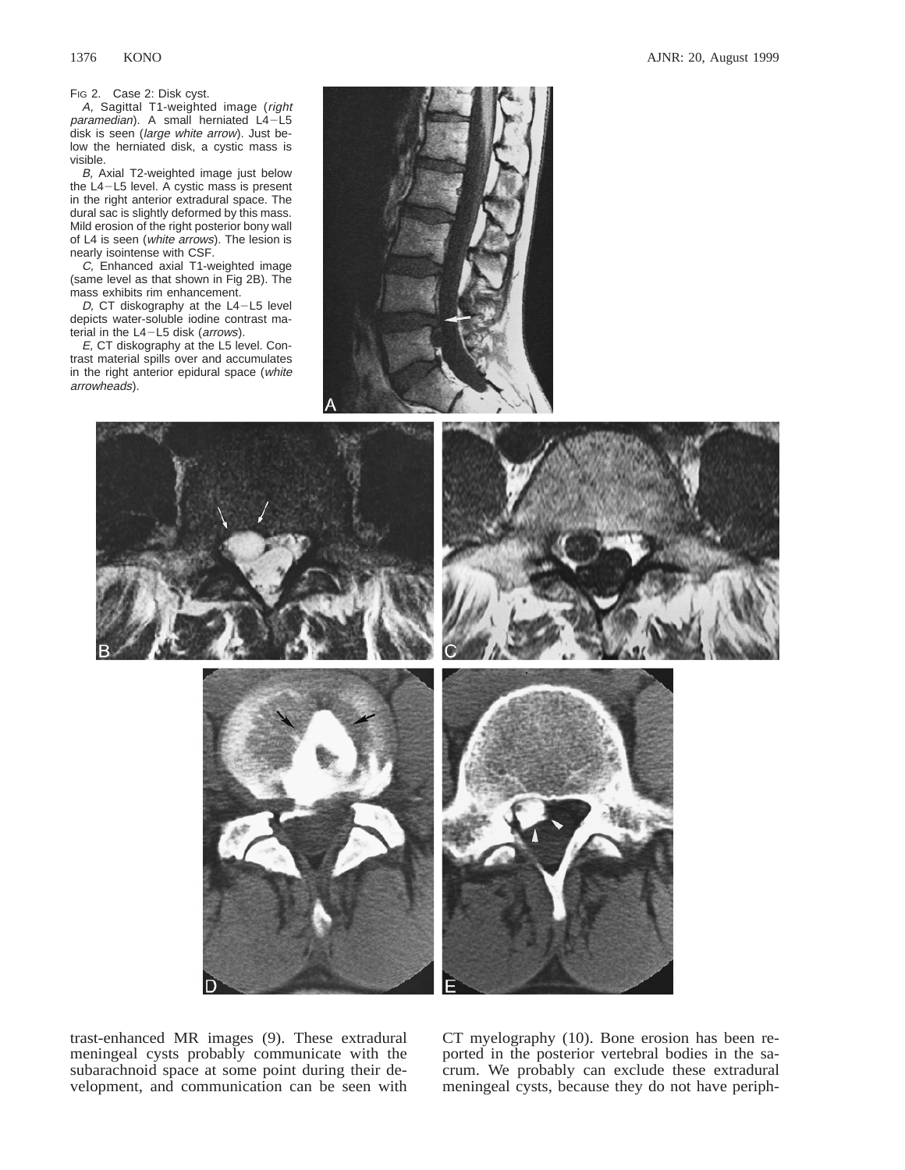FIG 2. Case 2: Disk cyst.

A, Sagittal T1-weighted image (right paramedian). A small herniated  $L4-L5$ disk is seen (large white arrow). Just below the herniated disk, a cystic mass is visible.

B, Axial T2-weighted image just below the  $L4-L5$  level. A cystic mass is present in the right anterior extradural space. The dural sac is slightly deformed by this mass. Mild erosion of the right posterior bony wall of L4 is seen (white arrows). The lesion is nearly isointense with CSF.

C, Enhanced axial T1-weighted image (same level as that shown in Fig 2B). The mass exhibits rim enhancement.

D, CT diskography at the  $L4-L5$  level depicts water-soluble iodine contrast material in the  $L4-L5$  disk (arrows).

E, CT diskography at the L5 level. Contrast material spills over and accumulates in the right anterior epidural space (white arrowheads).





trast-enhanced MR images (9). These extradural meningeal cysts probably communicate with the subarachnoid space at some point during their development, and communication can be seen with

CT myelography (10). Bone erosion has been reported in the posterior vertebral bodies in the sacrum. We probably can exclude these extradural meningeal cysts, because they do not have periph-